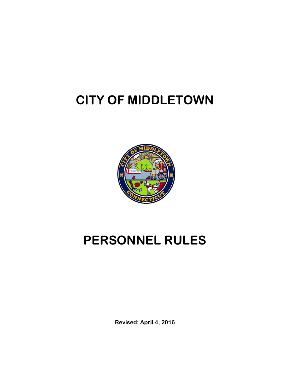# **CITY OF MIDDLETOWN**



# **PERSONNEL RULES**

**Revised: April 4, 2016**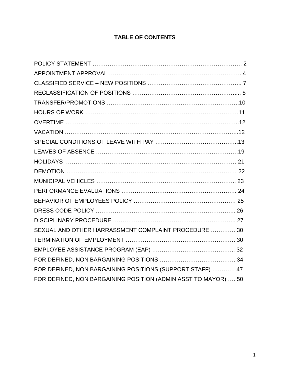# **TABLE OF CONTENTS**

| SEXUAL AND OTHER HARRASSMENT COMPLAINT PROCEDURE  30           |  |
|----------------------------------------------------------------|--|
|                                                                |  |
|                                                                |  |
|                                                                |  |
| FOR DEFINED, NON BARGAINING POSITIONS (SUPPORT STAFF)  47      |  |
| FOR DEFINED, NON BARGAINING POSITION (ADMIN ASST TO MAYOR)  50 |  |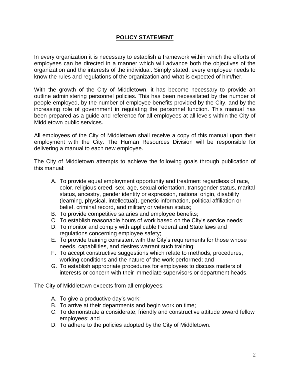# **POLICY STATEMENT**

In every organization it is necessary to establish a framework within which the efforts of employees can be directed in a manner which will advance both the objectives of the organization and the interests of the individual. Simply stated, every employee needs to know the rules and regulations of the organization and what is expected of him/her.

With the growth of the City of Middletown, it has become necessary to provide an outline administering personnel policies. This has been necessitated by the number of people employed, by the number of employee benefits provided by the City, and by the increasing role of government in regulating the personnel function. This manual has been prepared as a guide and reference for all employees at all levels within the City of Middletown public services.

All employees of the City of Middletown shall receive a copy of this manual upon their employment with the City. The Human Resources Division will be responsible for delivering a manual to each new employee.

The City of Middletown attempts to achieve the following goals through publication of this manual:

- A. To provide equal employment opportunity and treatment regardless of race, color, religious creed, sex, age, sexual orientation, transgender status, marital status, ancestry, gender identity or expression, national origin, disability (learning, physical, intellectual), genetic information, political affiliation or belief, criminal record, and military or veteran status;
- B. To provide competitive salaries and employee benefits;
- C. To establish reasonable hours of work based on the City's service needs;
- D. To monitor and comply with applicable Federal and State laws and regulations concerning employee safety;
- E. To provide training consistent with the City's requirements for those whose needs, capabilities, and desires warrant such training;
- F. To accept constructive suggestions which relate to methods, procedures, working conditions and the nature of the work performed; and
- G. To establish appropriate procedures for employees to discuss matters of interests or concern with their immediate supervisors or department heads.

The City of Middletown expects from all employees:

- A. To give a productive day's work;
- B. To arrive at their departments and begin work on time;
- C. To demonstrate a considerate, friendly and constructive attitude toward fellow employees; and
- D. To adhere to the policies adopted by the City of Middletown.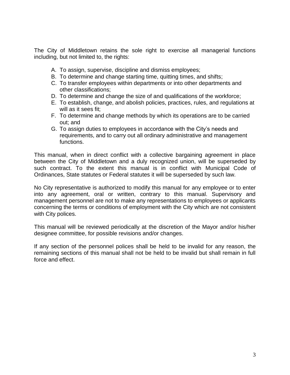The City of Middletown retains the sole right to exercise all managerial functions including, but not limited to, the rights:

- A. To assign, supervise, discipline and dismiss employees;
- B. To determine and change starting time, quitting times, and shifts;
- C. To transfer employees within departments or into other departments and other classifications;
- D. To determine and change the size of and qualifications of the workforce;
- E. To establish, change, and abolish policies, practices, rules, and regulations at will as it sees fit;
- F. To determine and change methods by which its operations are to be carried out; and
- G. To assign duties to employees in accordance with the City's needs and requirements, and to carry out all ordinary administrative and management functions.

This manual, when in direct conflict with a collective bargaining agreement in place between the City of Middletown and a duly recognized union, will be superseded by such contract. To the extent this manual is in conflict with Municipal Code of Ordinances, State statutes or Federal statutes it will be superseded by such law.

No City representative is authorized to modify this manual for any employee or to enter into any agreement, oral or written, contrary to this manual. Supervisory and management personnel are not to make any representations to employees or applicants concerning the terms or conditions of employment with the City which are not consistent with City polices.

This manual will be reviewed periodically at the discretion of the Mayor and/or his/her designee committee, for possible revisions and/or changes.

If any section of the personnel polices shall be held to be invalid for any reason, the remaining sections of this manual shall not be held to be invalid but shall remain in full force and effect.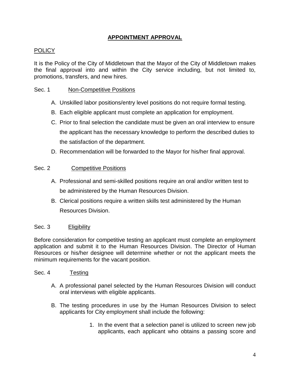# **APPOINTMENT APPROVAL**

# POLICY

It is the Policy of the City of Middletown that the Mayor of the City of Middletown makes the final approval into and within the City service including, but not limited to, promotions, transfers, and new hires.

# Sec. 1 Non-Competitive Positions

- A. Unskilled labor positions/entry level positions do not require formal testing.
- B. Each eligible applicant must complete an application for employment.
- C. Prior to final selection the candidate must be given an oral interview to ensure the applicant has the necessary knowledge to perform the described duties to the satisfaction of the department.
- D. Recommendation will be forwarded to the Mayor for his/her final approval.

#### Sec. 2 Competitive Positions

- A. Professional and semi-skilled positions require an oral and/or written test to be administered by the Human Resources Division.
- B. Clerical positions require a written skills test administered by the Human Resources Division.

#### Sec. 3 Eligibility

Before consideration for competitive testing an applicant must complete an employment application and submit it to the Human Resources Division. The Director of Human Resources or his/her designee will determine whether or not the applicant meets the minimum requirements for the vacant position.

#### Sec. 4 Testing

- A. A professional panel selected by the Human Resources Division will conduct oral interviews with eligible applicants.
- B. The testing procedures in use by the Human Resources Division to select applicants for City employment shall include the following:
	- 1. In the event that a selection panel is utilized to screen new job applicants, each applicant who obtains a passing score and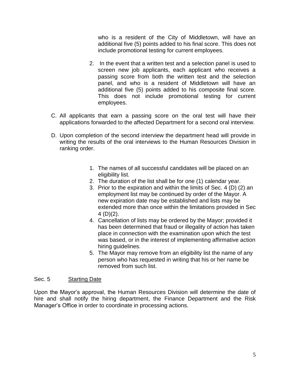who is a resident of the City of Middletown, will have an additional five (5) points added to his final score. This does not include promotional testing for current employees.

- 2. In the event that a written test and a selection panel is used to screen new job applicants, each applicant who receives a passing score from both the written test and the selection panel, and who is a resident of Middletown will have an additional five (5) points added to his composite final score. This does not include promotional testing for current employees.
- C. All applicants that earn a passing score on the oral test will have their applications forwarded to the affected Department for a second oral interview.
- D. Upon completion of the second interview the department head will provide in writing the results of the oral interviews to the Human Resources Division in ranking order.
	- 1. The names of all successful candidates will be placed on an eligibility list.
	- 2. The duration of the list shall be for one (1) calendar year.
	- 3. Prior to the expiration and within the limits of Sec. 4 (D) (2) an employment list may be continued by order of the Mayor. A new expiration date may be established and lists may be extended more than once within the limitations provided in Sec  $4(D)(2)$ .
	- 4. Cancellation of lists may be ordered by the Mayor; provided it has been determined that fraud or illegality of action has taken place in connection with the examination upon which the test was based, or in the interest of implementing affirmative action hiring guidelines.
	- 5. The Mayor may remove from an eligibility list the name of any person who has requested in writing that his or her name be removed from such list.

#### Sec. 5 Starting Date

Upon the Mayor's approval, the Human Resources Division will determine the date of hire and shall notify the hiring department, the Finance Department and the Risk Manager's Office in order to coordinate in processing actions.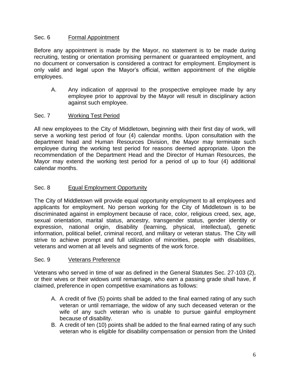# Sec. 6 Formal Appointment

Before any appointment is made by the Mayor, no statement is to be made during recruiting, testing or orientation promising permanent or guaranteed employment, and no document or conversation is considered a contract for employment. Employment is only valid and legal upon the Mayor's official, written appointment of the eligible employees.

A. Any indication of approval to the prospective employee made by any employee prior to approval by the Mayor will result in disciplinary action against such employee.

# Sec. 7 Working Test Period

All new employees to the City of Middletown, beginning with their first day of work, will serve a working test period of four (4) calendar months. Upon consultation with the department head and Human Resources Division, the Mayor may terminate such employee during the working test period for reasons deemed appropriate. Upon the recommendation of the Department Head and the Director of Human Resources, the Mayor may extend the working test period for a period of up to four (4) additional calendar months.

# Sec. 8 Equal Employment Opportunity

The City of Middletown will provide equal opportunity employment to all employees and applicants for employment. No person working for the City of Middletown is to be discriminated against in employment because of race, color, religious creed, sex, age, sexual orientation, marital status, ancestry, transgender status, gender identity or expression, national origin, disability (learning, physical, intellectual), genetic information, political belief, criminal record, and military or veteran status. The City will strive to achieve prompt and full utilization of minorities, people with disabilities, veterans and women at all levels and segments of the work force.

# Sec. 9 Veterans Preference

Veterans who served in time of war as defined in the General Statutes Sec. 27-103 (2), or their wives or their widows until remarriage, who earn a passing grade shall have, if claimed, preference in open competitive examinations as follows:

- A. A credit of five (5) points shall be added to the final earned rating of any such veteran or until remarriage, the widow of any such deceased veteran or the wife of any such veteran who is unable to pursue gainful employment because of disability.
- B. A credit of ten (10) points shall be added to the final earned rating of any such veteran who is eligible for disability compensation or pension from the United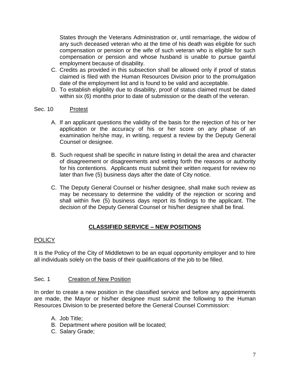States through the Veterans Administration or, until remarriage, the widow of any such deceased veteran who at the time of his death was eligible for such compensation or pension or the wife of such veteran who is eligible for such compensation or pension and whose husband is unable to pursue gainful employment because of disability.

- C. Credits as provided in this subsection shall be allowed only if proof of status claimed is filed with the Human Resources Division prior to the promulgation date of the employment list and is found to be valid and acceptable.
- D. To establish eligibility due to disability, proof of status claimed must be dated within six (6) months prior to date of submission or the death of the veteran.

# Sec. 10 Protest

- A. If an applicant questions the validity of the basis for the rejection of his or her application or the accuracy of his or her score on any phase of an examination he/she may, in writing, request a review by the Deputy General Counsel or designee.
- B. Such request shall be specific in nature listing in detail the area and character of disagreement or disagreements and setting forth the reasons or authority for his contentions. Applicants must submit their written request for review no later than five (5) business days after the date of City notice.
- C. The Deputy General Counsel or his/her designee, shall make such review as may be necessary to determine the validity of the rejection or scoring and shall within five (5) business days report its findings to the applicant. The decision of the Deputy General Counsel or his/her designee shall be final.

# **CLASSIFIED SERVICE – NEW POSITIONS**

# POLICY

It is the Policy of the City of Middletown to be an equal opportunity employer and to hire all individuals solely on the basis of their qualifications of the job to be filled.

#### Sec. 1 Creation of New Position

In order to create a new position in the classified service and before any appointments are made, the Mayor or his/her designee must submit the following to the Human Resources Division to be presented before the General Counsel Commission:

- A. Job Title;
- B. Department where position will be located;
- C. Salary Grade;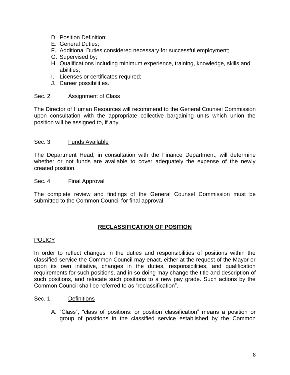- D. Position Definition;
- E. General Duties;
- F. Additional Duties considered necessary for successful employment;
- G. Supervised by;
- H. Qualifications including minimum experience, training, knowledge, skills and abilities;
- I. Licenses or certificates required;
- J. Career possibilities.

#### Sec. 2 Assignment of Class

The Director of Human Resources will recommend to the General Counsel Commission upon consultation with the appropriate collective bargaining units which union the position will be assigned to, if any.

#### Sec. 3 Funds Available

The Department Head, in consultation with the Finance Department, will determine whether or not funds are available to cover adequately the expense of the newly created position.

#### Sec. 4 Final Approval

The complete review and findings of the General Counsel Commission must be submitted to the Common Council for final approval.

#### **RECLASSIFICATION OF POSITION**

#### POLICY

In order to reflect changes in the duties and responsibilities of positions within the classified service the Common Council may enact, either at the request of the Mayor or upon its own initiative, changes in the duties, responsibilities, and qualification requirements for such positions, and in so doing may change the title and description of such positions, and relocate such positions to a new pay grade. Such actions by the Common Council shall be referred to as "reclassification".

#### Sec. 1 Definitions

A. "Class", "class of positions: or position classification" means a position or group of positions in the classified service established by the Common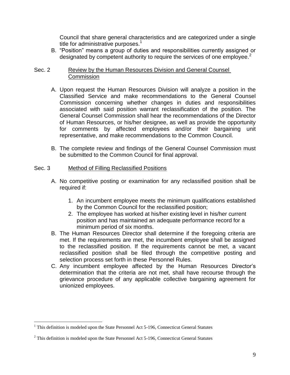Council that share general characteristics and are categorized under a single title for administrative purposes. $<sup>1</sup>$ </sup>

B. "Position" means a group of duties and responsibilities currently assigned or designated by competent authority to require the services of one employee. $2$ 

#### Sec. 2 Review by the Human Resources Division and General Counsel **Commission**

- A. Upon request the Human Resources Division will analyze a position in the Classified Service and make recommendations to the General Counsel Commission concerning whether changes in duties and responsibilities associated with said position warrant reclassification of the position. The General Counsel Commission shall hear the recommendations of the Director of Human Resources, or his/her designee, as well as provide the opportunity for comments by affected employees and/or their bargaining unit representative, and make recommendations to the Common Council.
- B. The complete review and findings of the General Counsel Commission must be submitted to the Common Council for final approval.

#### Sec. 3 Method of Filling Reclassified Positions

- A. No competitive posting or examination for any reclassified position shall be required if:
	- 1. An incumbent employee meets the minimum qualifications established by the Common Council for the reclassified position;
	- 2. The employee has worked at his/her existing level in his/her current position and has maintained an adequate performance record for a minimum period of six months.
- B. The Human Resources Director shall determine if the foregoing criteria are met. If the requirements are met, the incumbent employee shall be assigned to the reclassified position. If the requirements cannot be met, a vacant reclassified position shall be filed through the competitive posting and selection process set forth in these Personnel Rules.
- C. Any incumbent employee affected by the Human Resources Director's determination that the criteria are not met, shall have recourse through the grievance procedure of any applicable collective bargaining agreement for unionized employees.

 $\overline{a}$ 

 $1$  This definition is modeled upon the State Personnel Act 5-196, Connecticut General Statutes

 $2$  This definition is modeled upon the State Personnel Act 5-196, Connecticut General Statutes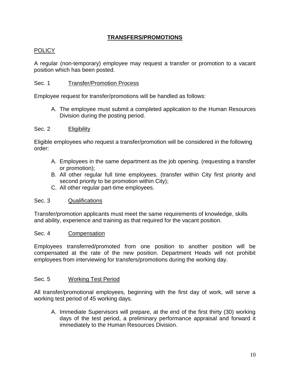# **TRANSFERS/PROMOTIONS**

# **POLICY**

A regular (non-temporary) employee may request a transfer or promotion to a vacant position which has been posted.

#### Sec. 1 Transfer/Promotion Process

Employee request for transfer/promotions will be handled as follows:

A. The employee must submit a completed application to the Human Resources Division during the posting period.

#### Sec. 2 Eligibility

Eligible employees who request a transfer/promotion will be considered in the following order:

- A. Employees in the same department as the job opening. (requesting a transfer or promotion);
- B. All other regular full time employees. (transfer within City first priority and second priority to be promotion within City);
- C. All other regular part-time employees.

#### Sec. 3 Qualifications

Transfer/promotion applicants must meet the same requirements of knowledge, skills and ability, experience and training as that required for the vacant position.

#### Sec. 4 Compensation

Employees transferred/promoted from one position to another position will be compensated at the rate of the new position. Department Heads will not prohibit employees from interviewing for transfers/promotions during the working day.

#### Sec. 5 Working Test Period

All transfer/promotional employees, beginning with the first day of work, will serve a working test period of 45 working days.

A. Immediate Supervisors will prepare, at the end of the first thirty (30) working days of the test period, a preliminary performance appraisal and forward it immediately to the Human Resources Division.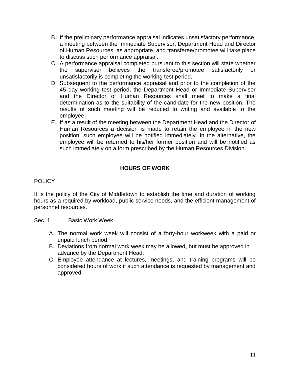- B. If the preliminary performance appraisal indicates unsatisfactory performance, a meeting between the Immediate Supervisor, Department Head and Director of Human Resources, as appropriate, and transferee/promotee will take place to discuss such performance appraisal.
- C. A performance appraisal completed pursuant to this section will state whether the supervisor believes the transferee/promotee satisfactorily or unsatisfactorily is completing the working test period.
- D. Subsequent to the performance appraisal and prior to the completion of the 45 day working test period, the Department Head or Immediate Supervisor and the Director of Human Resources shall meet to make a final determination as to the suitability of the candidate for the new position. The results of such meeting will be reduced to writing and available to the employee.
- E. If as a result of the meeting between the Department Head and the Director of Human Resources a decision is made to retain the employee in the new position, such employee will be notified immediately. In the alternative, the employee will be returned to his/her former position and will be notified as such immediately on a form prescribed by the Human Resources Division.

# **HOURS OF WORK**

# POLICY

It is the policy of the City of Middletown to establish the time and duration of working hours as a required by workload, public service needs, and the efficient management of personnel resources.

#### Sec. 1 Basic Work Week

- A. The normal work week will consist of a forty-hour workweek with a paid or unpaid lunch period.
- B. Deviations from normal work week may be allowed, but must be approved in advance by the Department Head.
- C. Employee attendance at lectures, meetings, and training programs will be considered hours of work if such attendance is requested by management and approved.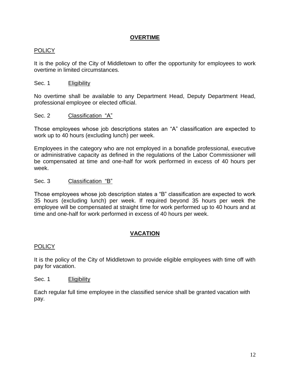# **OVERTIME**

# **POLICY**

It is the policy of the City of Middletown to offer the opportunity for employees to work overtime in limited circumstances.

#### Sec. 1 Eligibility

No overtime shall be available to any Department Head, Deputy Department Head, professional employee or elected official.

#### Sec. 2 Classification "A"

Those employees whose job descriptions states an "A" classification are expected to work up to 40 hours (excluding lunch) per week.

Employees in the category who are not employed in a bonafide professional, executive or administrative capacity as defined in the regulations of the Labor Commissioner will be compensated at time and one-half for work performed in excess of 40 hours per week.

#### Sec. 3 Classification "B"

Those employees whose job description states a "B" classification are expected to work 35 hours (excluding lunch) per week. If required beyond 35 hours per week the employee will be compensated at straight time for work performed up to 40 hours and at time and one-half for work performed in excess of 40 hours per week.

#### **VACATION**

#### POLICY

It is the policy of the City of Middletown to provide eligible employees with time off with pay for vacation.

#### Sec. 1 Eligibility

Each regular full time employee in the classified service shall be granted vacation with pay.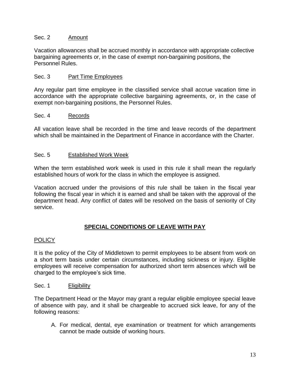#### Sec. 2 Amount

Vacation allowances shall be accrued monthly in accordance with appropriate collective bargaining agreements or, in the case of exempt non-bargaining positions, the Personnel Rules.

# Sec. 3 Part Time Employees

Any regular part time employee in the classified service shall accrue vacation time in accordance with the appropriate collective bargaining agreements, or, in the case of exempt non-bargaining positions, the Personnel Rules.

# Sec. 4 Records

All vacation leave shall be recorded in the time and leave records of the department which shall be maintained in the Department of Finance in accordance with the Charter.

# Sec. 5 Established Work Week

When the term established work week is used in this rule it shall mean the regularly established hours of work for the class in which the employee is assigned.

Vacation accrued under the provisions of this rule shall be taken in the fiscal year following the fiscal year in which it is earned and shall be taken with the approval of the department head. Any conflict of dates will be resolved on the basis of seniority of City service.

# **SPECIAL CONDITIONS OF LEAVE WITH PAY**

#### POLICY

It is the policy of the City of Middletown to permit employees to be absent from work on a short term basis under certain circumstances, including sickness or injury. Eligible employees will receive compensation for authorized short term absences which will be charged to the employee's sick time.

#### Sec. 1 Eligibility

The Department Head or the Mayor may grant a regular eligible employee special leave of absence with pay, and it shall be chargeable to accrued sick leave, for any of the following reasons:

A. For medical, dental, eye examination or treatment for which arrangements cannot be made outside of working hours.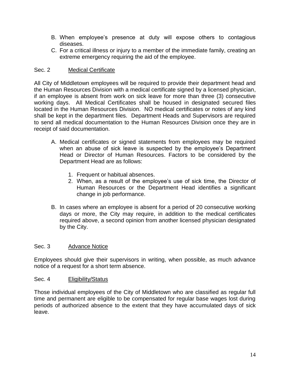- B. When employee's presence at duty will expose others to contagious diseases.
- C. For a critical illness or injury to a member of the immediate family, creating an extreme emergency requiring the aid of the employee.

# Sec. 2 Medical Certificate

All City of Middletown employees will be required to provide their department head and the Human Resources Division with a medical certificate signed by a licensed physician, if an employee is absent from work on sick leave for more than three (3) consecutive working days. All Medical Certificates shall be housed in designated secured files located in the Human Resources Division. NO medical certificates or notes of any kind shall be kept in the department files. Department Heads and Supervisors are required to send all medical documentation to the Human Resources Division once they are in receipt of said documentation.

- A. Medical certificates or signed statements from employees may be required when an abuse of sick leave is suspected by the employee's Department Head or Director of Human Resources. Factors to be considered by the Department Head are as follows:
	- 1. Frequent or habitual absences.
	- 2. When, as a result of the employee's use of sick time, the Director of Human Resources or the Department Head identifies a significant change in job performance.
- B. In cases where an employee is absent for a period of 20 consecutive working days or more, the City may require, in addition to the medical certificates required above, a second opinion from another licensed physician designated by the City.

#### Sec. 3 Advance Notice

Employees should give their supervisors in writing, when possible, as much advance notice of a request for a short term absence.

#### Sec. 4 Eligibility/Status

Those individual employees of the City of Middletown who are classified as regular full time and permanent are eligible to be compensated for regular base wages lost during periods of authorized absence to the extent that they have accumulated days of sick leave.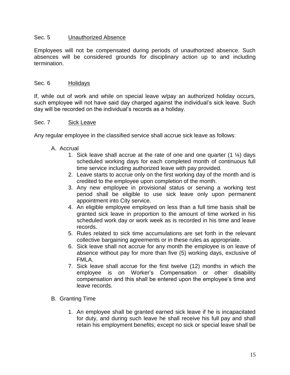#### Sec. 5 Unauthorized Absence

Employees will not be compensated during periods of unauthorized absence. Such absences will be considered grounds for disciplinary action up to and including termination.

#### Sec. 6 Holidays

If, while out of work and while on special leave w/pay an authorized holiday occurs, such employee will not have said day charged against the individual's sick leave. Such day will be recorded on the individual's records as a holiday.

#### Sec. 7 Sick Leave

Any regular employee in the classified service shall accrue sick leave as follows:

- A. Accrual
	- 1. Sick leave shall accrue at the rate of one and one quarter  $(1 \frac{1}{4})$  days scheduled working days for each completed month of continuous full time service including authorized leave with pay provided.
	- 2. Leave starts to accrue only on the first working day of the month and is credited to the employee upon completion of the month.
	- 3. Any new employee in provisional status or serving a working test period shall be eligible to use sick leave only upon permanent appointment into City service.
	- 4. An eligible employee employed on less than a full time basis shall be granted sick leave in proportion to the amount of time worked in his scheduled work day or work week as is recorded in his time and leave records.
	- 5. Rules related to sick time accumulations are set forth in the relevant collective bargaining agreements or in these rules as appropriate.
	- 6. Sick leave shall not accrue for any month the employee is on leave of absence without pay for more than five (5) working days, exclusive of FMLA.
	- 7. Sick leave shall accrue for the first twelve (12) months in which the employee is on Worker's Compensation or other disability compensation and this shall be entered upon the employee's time and leave records.
- B. Granting Time
	- 1. An employee shall be granted earned sick leave if he is incapacitated for duty, and during such leave he shall receive his full pay and shall retain his employment benefits; except no sick or special leave shall be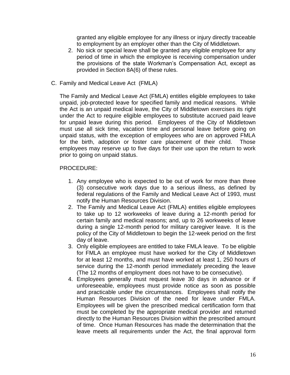granted any eligible employee for any illness or injury directly traceable to employment by an employer other than the City of Middletown.

- 2. No sick or special leave shall be granted any eligible employee for any period of time in which the employee is receiving compensation under the provisions of the state Workman's Compensation Act, except as provided in Section 8A(6) of these rules.
- C. Family and Medical Leave Act (FMLA)

The Family and Medical Leave Act (FMLA) entitles eligible employees to take unpaid, job-protected leave for specified family and medical reasons. While the Act is an unpaid medical leave, the City of Middletown exercises its right under the Act to require eligible employees to substitute accrued paid leave for unpaid leave during this period. Employees of the City of Middletown must use all sick time, vacation time and personal leave before going on unpaid status, with the exception of employees who are on approved FMLA for the birth, adoption or foster care placement of their child. Those employees may reserve up to five days for their use upon the return to work prior to going on unpaid status.

# PROCEDURE:

- 1. Any employee who is expected to be out of work for more than three (3) consecutive work days due to a serious illness, as defined by federal regulations of the Family and Medical Leave Act of 1993, must notify the Human Resources Division.
- 2. The Family and Medical Leave Act (FMLA) entitles eligible employees to take up to 12 workweeks of leave during a 12-month period for certain family and medical reasons; and, up to 26 workweeks of leave during a single 12-month period for military caregiver leave. It is the policy of the City of Middletown to begin the 12-week period on the first day of leave.
- 3. Only eligible employees are entitled to take FMLA leave. To be eligible for FMLA an employee must have worked for the City of Middletown for at least 12 months, and must have worked at least 1, 250 hours of service during the 12-month period immediately preceding the leave (The 12 months of employment does not have to be consecutive).
- 4. Employees generally must request leave 30 days in advance or if unforeseeable, employees must provide notice as soon as possible and practicable under the circumstances. Employees shall notify the Human Resources Division of the need for leave under FMLA. Employees will be given the prescribed medical certification form that must be completed by the appropriate medical provider and returned directly to the Human Resources Division within the prescribed amount of time. Once Human Resources has made the determination that the leave meets all requirements under the Act, the final approval form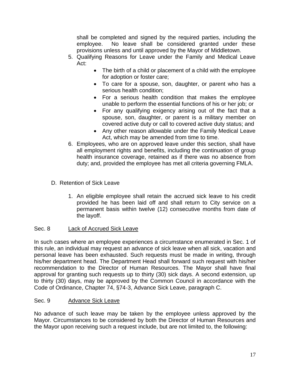shall be completed and signed by the required parties, including the employee. No leave shall be considered granted under these provisions unless and until approved by the Mayor of Middletown.

- 5. Qualifying Reasons for Leave under the Family and Medical Leave Act:
	- The birth of a child or placement of a child with the employee for adoption or foster care;
	- To care for a spouse, son, daughter, or parent who has a serious health condition;
	- For a serious health condition that makes the employee unable to perform the essential functions of his or her job; or
	- For any qualifying exigency arising out of the fact that a spouse, son, daughter, or parent is a military member on covered active duty or call to covered active duty status; and
	- Any other reason allowable under the Family Medical Leave Act, which may be amended from time to time.
- 6. Employees, who are on approved leave under this section, shall have all employment rights and benefits, including the continuation of group health insurance coverage, retained as if there was no absence from duty; and, provided the employee has met all criteria governing FMLA.

# D. Retention of Sick Leave

1. An eligible employee shall retain the accrued sick leave to his credit provided he has been laid off and shall return to City service on a permanent basis within twelve (12) consecutive months from date of the layoff.

# Sec. 8 Lack of Accrued Sick Leave

In such cases where an employee experiences a circumstance enumerated in Sec. 1 of this rule, an individual may request an advance of sick leave when all sick, vacation and personal leave has been exhausted. Such requests must be made in writing, through his/her department head. The Department Head shall forward such request with his/her recommendation to the Director of Human Resources. The Mayor shall have final approval for granting such requests up to thirty (30) sick days. A second extension, up to thirty (30) days, may be approved by the Common Council in accordance with the Code of Ordinance, Chapter 74, §74-3, Advance Sick Leave, paragraph C.

# Sec. 9 Advance Sick Leave

No advance of such leave may be taken by the employee unless approved by the Mayor. Circumstances to be considered by both the Director of Human Resources and the Mayor upon receiving such a request include, but are not limited to, the following: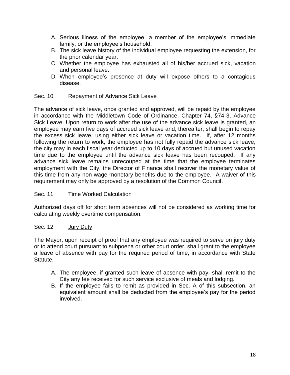- A. Serious illness of the employee, a member of the employee's immediate family, or the employee's household.
- B. The sick leave history of the individual employee requesting the extension, for the prior calendar year.
- C. Whether the employee has exhausted all of his/her accrued sick, vacation and personal leave.
- D. When employee's presence at duty will expose others to a contagious disease.

# Sec. 10 Repayment of Advance Sick Leave

The advance of sick leave, once granted and approved, will be repaid by the employee in accordance with the Middletown Code of Ordinance, Chapter 74, §74-3, Advance Sick Leave. Upon return to work after the use of the advance sick leave is granted, an employee may earn five days of accrued sick leave and, thereafter, shall begin to repay the excess sick leave, using either sick leave or vacation time. If, after 12 months following the return to work, the employee has not fully repaid the advance sick leave, the city may in each fiscal year deducted up to 10 days of accrued but unused vacation time due to the employee until the advance sick leave has been recouped. If any advance sick leave remains unrecouped at the time that the employee terminates employment with the City, the Director of Finance shall recover the monetary value of this time from any non-wage monetary benefits due to the employee. A waiver of this requirement may only be approved by a resolution of the Common Council.

#### Sec. 11 Time Worked Calculation

Authorized days off for short term absences will not be considered as working time for calculating weekly overtime compensation.

#### Sec. 12 Jury Duty

The Mayor, upon receipt of proof that any employee was required to serve on jury duty or to attend court pursuant to subpoena or other court order, shall grant to the employee a leave of absence with pay for the required period of time, in accordance with State Statute.

- A. The employee, if granted such leave of absence with pay, shall remit to the City any fee received for such service exclusive of meals and lodging.
- B. If the employee fails to remit as provided in Sec. A of this subsection, an equivalent amount shall be deducted from the employee's pay for the period involved.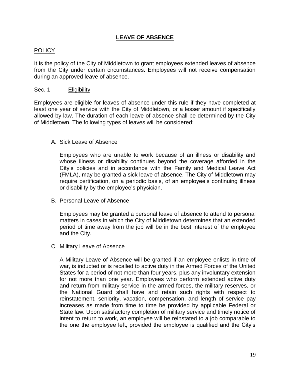# **LEAVE OF ABSENCE**

#### POLICY

It is the policy of the City of Middletown to grant employees extended leaves of absence from the City under certain circumstances. Employees will not receive compensation during an approved leave of absence.

#### Sec. 1 Eligibility

Employees are eligible for leaves of absence under this rule if they have completed at least one year of service with the City of Middletown, or a lesser amount if specifically allowed by law. The duration of each leave of absence shall be determined by the City of Middletown. The following types of leaves will be considered:

#### A. Sick Leave of Absence

Employees who are unable to work because of an illness or disability and whose illness or disability continues beyond the coverage afforded in the City's policies and in accordance with the Family and Medical Leave Act (FMLA), may be granted a sick leave of absence. The City of Middletown may require certification, on a periodic basis, of an employee's continuing illness or disability by the employee's physician.

B. Personal Leave of Absence

Employees may be granted a personal leave of absence to attend to personal matters in cases in which the City of Middletown determines that an extended period of time away from the job will be in the best interest of the employee and the City.

C. Military Leave of Absence

A Military Leave of Absence will be granted if an employee enlists in time of war, is inducted or is recalled to active duty in the Armed Forces of the United States for a period of not more than four years, plus any involuntary extension for not more than one year. Employees who perform extended active duty and return from military service in the armed forces, the military reserves, or the National Guard shall have and retain such rights with respect to reinstatement, seniority, vacation, compensation, and length of service pay increases as made from time to time be provided by applicable Federal or State law. Upon satisfactory completion of military service and timely notice of intent to return to work, an employee will be reinstated to a job comparable to the one the employee left, provided the employee is qualified and the City's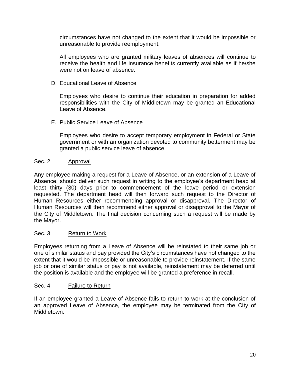circumstances have not changed to the extent that it would be impossible or unreasonable to provide reemployment.

All employees who are granted military leaves of absences will continue to receive the health and life insurance benefits currently available as if he/she were not on leave of absence.

D. Educational Leave of Absence

Employees who desire to continue their education in preparation for added responsibilities with the City of Middletown may be granted an Educational Leave of Absence.

E. Public Service Leave of Absence

Employees who desire to accept temporary employment in Federal or State government or with an organization devoted to community betterment may be granted a public service leave of absence.

#### Sec. 2 Approval

Any employee making a request for a Leave of Absence, or an extension of a Leave of Absence, should deliver such request in writing to the employee's department head at least thirty (30) days prior to commencement of the leave period or extension requested. The department head will then forward such request to the Director of Human Resources either recommending approval or disapproval. The Director of Human Resources will then recommend either approval or disapproval to the Mayor of the City of Middletown. The final decision concerning such a request will be made by the Mayor.

#### Sec. 3 Return to Work

Employees returning from a Leave of Absence will be reinstated to their same job or one of similar status and pay provided the City's circumstances have not changed to the extent that it would be impossible or unreasonable to provide reinstatement. If the same job or one of similar status or pay is not available, reinstatement may be deferred until the position is available and the employee will be granted a preference in recall.

#### Sec. 4 Failure to Return

If an employee granted a Leave of Absence fails to return to work at the conclusion of an approved Leave of Absence, the employee may be terminated from the City of Middletown.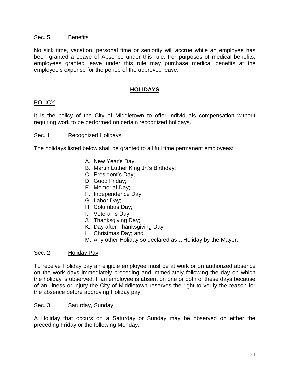#### Sec. 5 Benefits

No sick time, vacation, personal time or seniority will accrue while an employee has been granted a Leave of Absence under this rule. For purposes of medical benefits, employees granted leave under this rule may purchase medical benefits at the employee's expense for the period of the approved leave.

#### **HOLIDAYS**

#### POLICY

It is the policy of the City of Middletown to offer individuals compensation without requiring work to be performed on certain recognized holidays.

#### Sec. 1 Recognized Holidays

The holidays listed below shall be granted to all full time permanent employees:

- A. New Year's Day;
- B. Martin Luther King Jr.'s Birthday;
- C. President's Day;
- D. Good Friday;
- E. Memorial Day;
- F. Independence Day;
- G. Labor Day;
- H. Columbus Day;
- I. Veteran's Day;
- J. Thanksgiving Day;
- K. Day after Thanksgiving Day;
- L. Christmas Day; and
- M. Any other Holiday so declared as a Holiday by the Mayor.

#### Sec. 2 Holiday Pay

To receive Holiday pay an eligible employee must be at work or on authorized absence on the work days immediately preceding and immediately following the day on which the holiday is observed. If an employee is absent on one or both of these days because of an illness or injury the City of Middletown reserves the right to verify the reason for the absence before approving Holiday pay.

#### Sec. 3 Saturday, Sunday

A Holiday that occurs on a Saturday or Sunday may be observed on either the preceding Friday or the following Monday.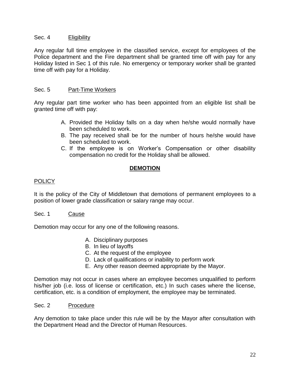#### Sec. 4 Eligibility

Any regular full time employee in the classified service, except for employees of the Police department and the Fire department shall be granted time off with pay for any Holiday listed in Sec 1 of this rule. No emergency or temporary worker shall be granted time off with pay for a Holiday.

# Sec. 5 Part-Time Workers

Any regular part time worker who has been appointed from an eligible list shall be granted time off with pay:

- A. Provided the Holiday falls on a day when he/she would normally have been scheduled to work.
- B. The pay received shall be for the number of hours he/she would have been scheduled to work.
- C. If the employee is on Worker's Compensation or other disability compensation no credit for the Holiday shall be allowed.

# **DEMOTION**

# POLICY

It is the policy of the City of Middletown that demotions of permanent employees to a position of lower grade classification or salary range may occur.

Sec. 1 Cause

Demotion may occur for any one of the following reasons.

- A. Disciplinary purposes
- B. In lieu of layoffs
- C. At the request of the employee
- D. Lack of qualifications or inability to perform work
- E. Any other reason deemed appropriate by the Mayor.

Demotion may not occur in cases where an employee becomes unqualified to perform his/her job (i.e. loss of license or certification, etc.) In such cases where the license, certification, etc. is a condition of employment, the employee may be terminated.

#### Sec. 2 Procedure

Any demotion to take place under this rule will be by the Mayor after consultation with the Department Head and the Director of Human Resources.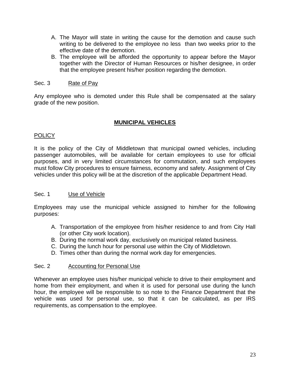- A. The Mayor will state in writing the cause for the demotion and cause such writing to be delivered to the employee no less than two weeks prior to the effective date of the demotion.
- B. The employee will be afforded the opportunity to appear before the Mayor together with the Director of Human Resources or his/her designee, in order that the employee present his/her position regarding the demotion.

#### Sec. 3 Rate of Pay

Any employee who is demoted under this Rule shall be compensated at the salary grade of the new position.

#### **MUNICIPAL VEHICLES**

#### **POLICY**

It is the policy of the City of Middletown that municipal owned vehicles, including passenger automobiles, will be available for certain employees to use for official purposes, and in very limited circumstances for commutation, and such employees must follow City procedures to ensure fairness, economy and safety. Assignment of City vehicles under this policy will be at the discretion of the applicable Department Head.

#### Sec. 1 Use of Vehicle

Employees may use the municipal vehicle assigned to him/her for the following purposes:

- A. Transportation of the employee from his/her residence to and from City Hall (or other City work location).
- B. During the normal work day, exclusively on municipal related business.
- C. During the lunch hour for personal use within the City of Middletown.
- D. Times other than during the normal work day for emergencies.

#### Sec. 2 **Accounting for Personal Use**

Whenever an employee uses his/her municipal vehicle to drive to their employment and home from their employment, and when it is used for personal use during the lunch hour, the employee will be responsible to so note to the Finance Department that the vehicle was used for personal use, so that it can be calculated, as per IRS requirements, as compensation to the employee.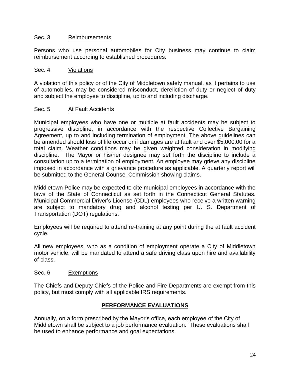#### Sec. 3 Reimbursements

Persons who use personal automobiles for City business may continue to claim reimbursement according to established procedures.

#### Sec. 4 Violations

A violation of this policy or of the City of Middletown safety manual, as it pertains to use of automobiles, may be considered misconduct, dereliction of duty or neglect of duty and subject the employee to discipline, up to and including discharge.

# Sec. 5 At Fault Accidents

Municipal employees who have one or multiple at fault accidents may be subject to progressive discipline, in accordance with the respective Collective Bargaining Agreement, up to and including termination of employment. The above guidelines can be amended should loss of life occur or if damages are at fault and over \$5,000.00 for a total claim. Weather conditions may be given weighted consideration in modifying discipline. The Mayor or his/her designee may set forth the discipline to include a consultation up to a termination of employment. An employee may grieve any discipline imposed in accordance with a grievance procedure as applicable. A quarterly report will be submitted to the General Counsel Commission showing claims.

Middletown Police may be expected to cite municipal employees in accordance with the laws of the State of Connecticut as set forth in the Connecticut General Statutes. Municipal Commercial Driver's License (CDL) employees who receive a written warning are subject to mandatory drug and alcohol testing per U. S. Department of Transportation (DOT) regulations.

Employees will be required to attend re-training at any point during the at fault accident cycle.

All new employees, who as a condition of employment operate a City of Middletown motor vehicle, will be mandated to attend a safe driving class upon hire and availability of class.

#### Sec. 6 Exemptions

The Chiefs and Deputy Chiefs of the Police and Fire Departments are exempt from this policy, but must comply with all applicable IRS requirements.

# **PERFORMANCE EVALUATIONS**

Annually, on a form prescribed by the Mayor's office, each employee of the City of Middletown shall be subject to a job performance evaluation. These evaluations shall be used to enhance performance and goal expectations.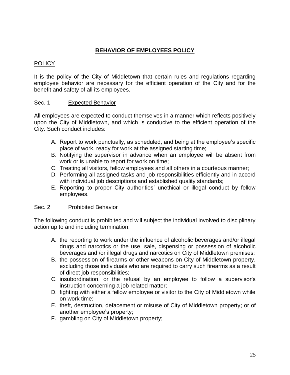# **BEHAVIOR OF EMPLOYEES POLICY**

# **POLICY**

It is the policy of the City of Middletown that certain rules and regulations regarding employee behavior are necessary for the efficient operation of the City and for the benefit and safety of all its employees.

# Sec. 1 Expected Behavior

All employees are expected to conduct themselves in a manner which reflects positively upon the City of Middletown, and which is conducive to the efficient operation of the City. Such conduct includes:

- A. Report to work punctually, as scheduled, and being at the employee's specific place of work, ready for work at the assigned starting time;
- B. Notifying the supervisor in advance when an employee will be absent from work or is unable to report for work on time;
- C. Treating all visitors, fellow employees and all others in a courteous manner;
- D. Performing all assigned tasks and job responsibilities efficiently and in accord with individual job descriptions and established quality standards;
- E. Reporting to proper City authorities' unethical or illegal conduct by fellow employees.

#### Sec. 2 Prohibited Behavior

The following conduct is prohibited and will subject the individual involved to disciplinary action up to and including termination;

- A. the reporting to work under the influence of alcoholic beverages and/or illegal drugs and narcotics or the use, sale, dispensing or possession of alcoholic beverages and /or illegal drugs and narcotics on City of Middletown premises;
- B. the possession of firearms or other weapons on City of Middletown property, excluding those individuals who are required to carry such firearms as a result of direct job responsibilities;
- C. insubordination, or the refusal by an employee to follow a supervisor's instruction concerning a job related matter;
- D. fighting with either a fellow employee or visitor to the City of Middletown while on work time;
- E. theft, destruction, defacement or misuse of City of Middletown property; or of another employee's property;
- F. gambling on City of Middletown property;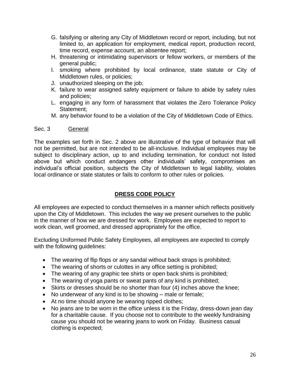- G. falsifying or altering any City of Middletown record or report, including, but not limited to, an application for employment, medical report, production record, time record, expense account, an absentee report;
- H. threatening or intimidating supervisors or fellow workers, or members of the general public;
- I. smoking where prohibited by local ordinance, state statute or City of Middletown rules, or policies;
- J. unauthorized sleeping on the job;
- K. failure to wear assigned safety equipment or failure to abide by safety rules and policies;
- L. engaging in any form of harassment that violates the Zero Tolerance Policy Statement;
- M. any behavior found to be a violation of the City of Middletown Code of Ethics.

#### Sec. 3 General

The examples set forth in Sec. 2 above are illustrative of the type of behavior that will not be permitted, but are not intended to be all-inclusive. Individual employees may be subject to disciplinary action, up to and including termination, for conduct not listed above but which conduct endangers other individuals' safety, compromises an individual's official position, subjects the City of Middletown to legal liability, violates local ordinance or state statutes or fails to conform to other rules or policies.

# **DRESS CODE POLICY**

All employees are expected to conduct themselves in a manner which reflects positively upon the City of Middletown. This includes the way we present ourselves to the public in the manner of how we are dressed for work. Employees are expected to report to work clean, well groomed, and dressed appropriately for the office.

Excluding Uniformed Public Safety Employees, all employees are expected to comply with the following guidelines:

- The wearing of flip flops or any sandal without back straps is prohibited;
- The wearing of shorts or culottes in any office setting is prohibited;
- The wearing of any graphic tee shirts or open back shirts is prohibited;
- The wearing of yoga pants or sweat pants of any kind is prohibited;
- Skirts or dresses should be no shorter than four (4) inches above the knee;
- No underwear of any kind is to be showing male or female;
- At no time should anyone be wearing ripped clothes;
- No jeans are to be worn in the office unless it is the Friday, dress-down jean day for a charitable cause. If you choose not to contribute to the weekly fundraising cause you should not be wearing jeans to work on Friday. Business casual clothing is expected;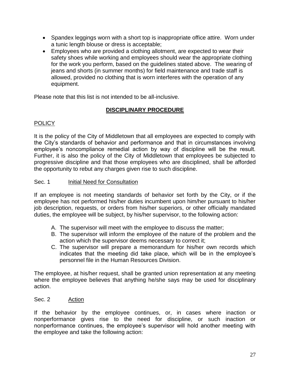- Spandex leggings worn with a short top is inappropriate office attire. Worn under a tunic length blouse or dress is acceptable;
- Employees who are provided a clothing allotment, are expected to wear their safety shoes while working and employees should wear the appropriate clothing for the work you perform, based on the guidelines stated above. The wearing of jeans and shorts (in summer months) for field maintenance and trade staff is allowed, provided no clothing that is worn interferes with the operation of any equipment.

Please note that this list is not intended to be all-inclusive.

# **DISCIPLINARY PROCEDURE**

# **POLICY**

It is the policy of the City of Middletown that all employees are expected to comply with the City's standards of behavior and performance and that in circumstances involving employee's noncompliance remedial action by way of discipline will be the result. Further, it is also the policy of the City of Middletown that employees be subjected to progressive discipline and that those employees who are disciplined, shall be afforded the opportunity to rebut any charges given rise to such discipline.

# Sec. 1 **Initial Need for Consultation**

If an employee is not meeting standards of behavior set forth by the City, or if the employee has not performed his/her duties incumbent upon him/her pursuant to his/her job description, requests, or orders from his/her superiors, or other officially mandated duties, the employee will be subject, by his/her supervisor, to the following action:

- A. The supervisor will meet with the employee to discuss the matter;
- B. The supervisor will inform the employee of the nature of the problem and the action which the supervisor deems necessary to correct it;
- C. The supervisor will prepare a memorandum for his/her own records which indicates that the meeting did take place, which will be in the employee's personnel file in the Human Resources Division.

The employee, at his/her request, shall be granted union representation at any meeting where the employee believes that anything he/she says may be used for disciplinary action.

#### Sec. 2 Action

If the behavior by the employee continues, or, in cases where inaction or nonperformance gives rise to the need for discipline, or such inaction or nonperformance continues, the employee's supervisor will hold another meeting with the employee and take the following action: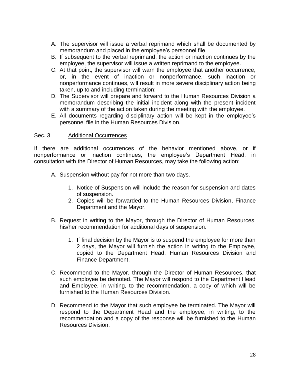- A. The supervisor will issue a verbal reprimand which shall be documented by memorandum and placed in the employee's personnel file.
- B. If subsequent to the verbal reprimand, the action or inaction continues by the employee, the supervisor will issue a written reprimand to the employee.
- C. At that point, the supervisor will warn the employee that another occurrence, or, in the event of inaction or nonperformance, such inaction or nonperformance continues, will result in more severe disciplinary action being taken, up to and including termination;
- D. The Supervisor will prepare and forward to the Human Resources Division a memorandum describing the initial incident along with the present incident with a summary of the action taken during the meeting with the employee.
- E. All documents regarding disciplinary action will be kept in the employee's personnel file in the Human Resources Division.

# Sec. 3 Additional Occurrences

If there are additional occurrences of the behavior mentioned above, or if nonperformance or inaction continues, the employee's Department Head, in consultation with the Director of Human Resources, may take the following action:

- A. Suspension without pay for not more than two days.
	- 1. Notice of Suspension will include the reason for suspension and dates of suspension.
	- 2. Copies will be forwarded to the Human Resources Division, Finance Department and the Mayor.
- B. Request in writing to the Mayor, through the Director of Human Resources, his/her recommendation for additional days of suspension.
	- 1. If final decision by the Mayor is to suspend the employee for more than 2 days, the Mayor will furnish the action in writing to the Employee, copied to the Department Head, Human Resources Division and Finance Department.
- C. Recommend to the Mayor, through the Director of Human Resources, that such employee be demoted. The Mayor will respond to the Department Head and Employee, in writing, to the recommendation, a copy of which will be furnished to the Human Resources Division.
- D. Recommend to the Mayor that such employee be terminated. The Mayor will respond to the Department Head and the employee, in writing, to the recommendation and a copy of the response will be furnished to the Human Resources Division.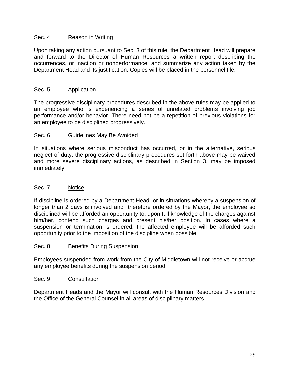# Sec. 4 Reason in Writing

Upon taking any action pursuant to Sec. 3 of this rule, the Department Head will prepare and forward to the Director of Human Resources a written report describing the occurrences, or inaction or nonperformance, and summarize any action taken by the Department Head and its justification. Copies will be placed in the personnel file.

#### Sec. 5 Application

The progressive disciplinary procedures described in the above rules may be applied to an employee who is experiencing a series of unrelated problems involving job performance and/or behavior. There need not be a repetition of previous violations for an employee to be disciplined progressively.

#### Sec. 6 Guidelines May Be Avoided

In situations where serious misconduct has occurred, or in the alternative, serious neglect of duty, the progressive disciplinary procedures set forth above may be waived and more severe disciplinary actions, as described in Section 3, may be imposed immediately.

# Sec. 7 Notice

If discipline is ordered by a Department Head, or in situations whereby a suspension of longer than 2 days is involved and therefore ordered by the Mayor, the employee so disciplined will be afforded an opportunity to, upon full knowledge of the charges against him/her, contend such charges and present his/her position. In cases where a suspension or termination is ordered, the affected employee will be afforded such opportunity prior to the imposition of the discipline when possible.

#### Sec. 8 Benefits During Suspension

Employees suspended from work from the City of Middletown will not receive or accrue any employee benefits during the suspension period.

#### Sec. 9 Consultation

Department Heads and the Mayor will consult with the Human Resources Division and the Office of the General Counsel in all areas of disciplinary matters.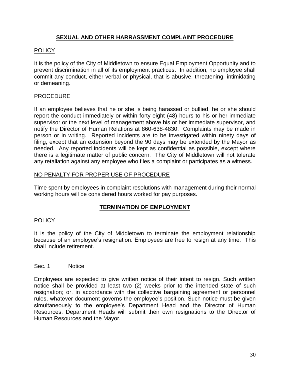# **SEXUAL AND OTHER HARRASSMENT COMPLAINT PROCEDURE**

# POLICY

It is the policy of the City of Middletown to ensure Equal Employment Opportunity and to prevent discrimination in all of its employment practices. In addition, no employee shall commit any conduct, either verbal or physical, that is abusive, threatening, intimidating or demeaning.

# PROCEDURE

If an employee believes that he or she is being harassed or bullied, he or she should report the conduct immediately or within forty-eight (48) hours to his or her immediate supervisor or the next level of management above his or her immediate supervisor, and notify the Director of Human Relations at 860-638-4830. Complaints may be made in person or in writing. Reported incidents are to be investigated within ninety days of filing, except that an extension beyond the 90 days may be extended by the Mayor as needed. Any reported incidents will be kept as confidential as possible, except where there is a legitimate matter of public concern. The City of Middletown will not tolerate any retaliation against any employee who files a complaint or participates as a witness.

# NO PENALTY FOR PROPER USE OF PROCEDURE

Time spent by employees in complaint resolutions with management during their normal working hours will be considered hours worked for pay purposes.

# **TERMINATION OF EMPLOYMENT**

#### **POLICY**

It is the policy of the City of Middletown to terminate the employment relationship because of an employee's resignation. Employees are free to resign at any time. This shall include retirement.

#### Sec. 1 Notice

Employees are expected to give written notice of their intent to resign. Such written notice shall be provided at least two (2) weeks prior to the intended state of such resignation; or, in accordance with the collective bargaining agreement or personnel rules, whatever document governs the employee's position. Such notice must be given simultaneously to the employee's Department Head and the Director of Human Resources. Department Heads will submit their own resignations to the Director of Human Resources and the Mayor.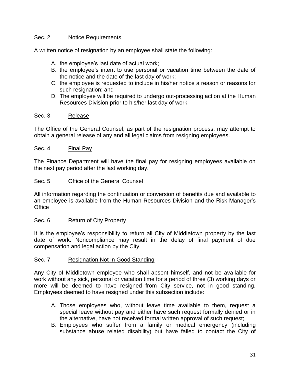# Sec. 2 Notice Requirements

A written notice of resignation by an employee shall state the following:

- A. the employee's last date of actual work;
- B. the employee's intent to use personal or vacation time between the date of the notice and the date of the last day of work;
- C. the employee is requested to include in his/her notice a reason or reasons for such resignation; and
- D. The employee will be required to undergo out-processing action at the Human Resources Division prior to his/her last day of work.

#### Sec. 3 Release

The Office of the General Counsel, as part of the resignation process, may attempt to obtain a general release of any and all legal claims from resigning employees.

#### Sec. 4 Final Pay

The Finance Department will have the final pay for resigning employees available on the next pay period after the last working day.

#### Sec. 5 Office of the General Counsel

All information regarding the continuation or conversion of benefits due and available to an employee is available from the Human Resources Division and the Risk Manager's **Office** 

#### Sec. 6 Return of City Property

It is the employee's responsibility to return all City of Middletown property by the last date of work. Noncompliance may result in the delay of final payment of due compensation and legal action by the City.

#### Sec. 7 Resignation Not In Good Standing

Any City of Middletown employee who shall absent himself, and not be available for work without any sick, personal or vacation time for a period of three (3) working days or more will be deemed to have resigned from City service, not in good standing. Employees deemed to have resigned under this subsection include:

- A. Those employees who, without leave time available to them, request a special leave without pay and either have such request formally denied or in the alternative, have not received formal written approval of such request;
- B. Employees who suffer from a family or medical emergency (including substance abuse related disability) but have failed to contact the City of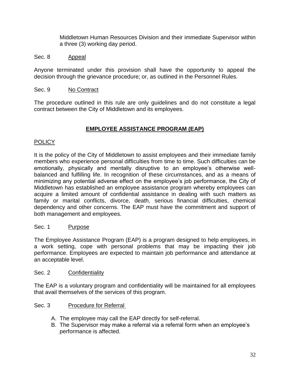Middletown Human Resources Division and their immediate Supervisor within a three (3) working day period.

#### Sec. 8 Appeal

Anyone terminated under this provision shall have the opportunity to appeal the decision through the grievance procedure; or, as outlined in the Personnel Rules.

#### Sec. 9 No Contract

The procedure outlined in this rule are only guidelines and do not constitute a legal contract between the City of Middletown and its employees.

# **EMPLOYEE ASSISTANCE PROGRAM (EAP)**

#### POLICY

It is the policy of the City of Middletown to assist employees and their immediate family members who experience personal difficulties from time to time. Such difficulties can be emotionally, physically and mentally disruptive to an employee's otherwise wellbalanced and fulfilling life. In recognition of these circumstances, and as a means of minimizing any potential adverse effect on the employee's job performance, the City of Middletown has established an employee assistance program whereby employees can acquire a limited amount of confidential assistance in dealing with such matters as family or marital conflicts, divorce, death, serious financial difficulties, chemical dependency and other concerns. The EAP must have the commitment and support of both management and employees.

#### Sec. 1 Purpose

The Employee Assistance Program (EAP) is a program designed to help employees, in a work setting, cope with personal problems that may be impacting their job performance. Employees are expected to maintain job performance and attendance at an acceptable level.

#### Sec. 2 Confidentiality

The EAP is a voluntary program and confidentiality will be maintained for all employees that avail themselves of the services of this program.

#### Sec. 3 Procedure for Referral

- A. The employee may call the EAP directly for self-referral.
- B. The Supervisor may make a referral via a referral form when an employee's performance is affected.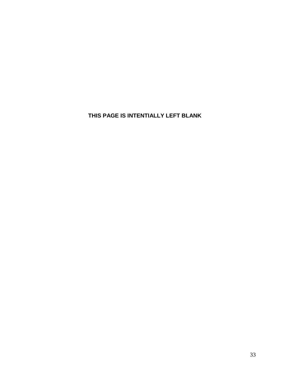**THIS PAGE IS INTENTIALLY LEFT BLANK**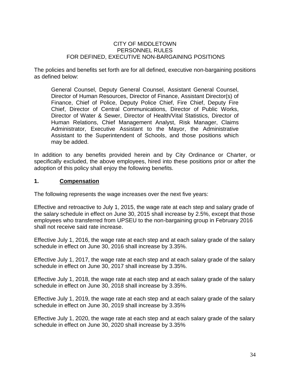#### CITY OF MIDDLETOWN PERSONNEL RULES FOR DEFINED, EXECUTIVE NON-BARGAINING POSITIONS

The policies and benefits set forth are for all defined, executive non-bargaining positions as defined below:

General Counsel, Deputy General Counsel, Assistant General Counsel, Director of Human Resources, Director of Finance, Assistant Director(s) of Finance, Chief of Police, Deputy Police Chief, Fire Chief, Deputy Fire Chief, Director of Central Communications, Director of Public Works, Director of Water & Sewer, Director of Health/Vital Statistics, Director of Human Relations, Chief Management Analyst, Risk Manager, Claims Administrator, Executive Assistant to the Mayor, the Administrative Assistant to the Superintendent of Schools, and those positions which may be added.

In addition to any benefits provided herein and by City Ordinance or Charter, or specifically excluded, the above employees, hired into these positions prior or after the adoption of this policy shall enjoy the following benefits.

#### **1. Compensation**

The following represents the wage increases over the next five years:

Effective and retroactive to July 1, 2015, the wage rate at each step and salary grade of the salary schedule in effect on June 30, 2015 shall increase by 2.5%, except that those employees who transferred from UPSEU to the non-bargaining group in February 2016 shall not receive said rate increase.

Effective July 1, 2016, the wage rate at each step and at each salary grade of the salary schedule in effect on June 30, 2016 shall increase by 3.35%.

Effective July 1, 2017, the wage rate at each step and at each salary grade of the salary schedule in effect on June 30, 2017 shall increase by 3.35%.

Effective July 1, 2018, the wage rate at each step and at each salary grade of the salary schedule in effect on June 30, 2018 shall increase by 3.35%.

Effective July 1, 2019, the wage rate at each step and at each salary grade of the salary schedule in effect on June 30, 2019 shall increase by 3.35%

Effective July 1, 2020, the wage rate at each step and at each salary grade of the salary schedule in effect on June 30, 2020 shall increase by 3.35%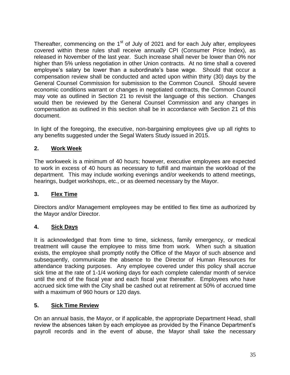Thereafter, commencing on the  $1<sup>st</sup>$  of July of 2021 and for each July after, employees covered within these rules shall receive annually CPI (Consumer Price Index), as released in November of the last year. Such increase shall never be lower than 0% nor higher than 5% unless negotiation in other Union contracts. At no time shall a covered employee's salary be lower than a subordinate's base wage. Should that occur a compensation review shall be conducted and acted upon within thirty (30) days by the General Counsel Commission for submission to the Common Council. Should severe economic conditions warrant or changes in negotiated contracts, the Common Council may vote as outlined in Section 21 to revisit the language of this section. Changes would then be reviewed by the General Counsel Commission and any changes in compensation as outlined in this section shall be in accordance with Section 21 of this document.

In light of the foregoing, the executive, non-bargaining employees give up all rights to any benefits suggested under the Segal Waters Study issued in 2015.

# **2. Work Week**

The workweek is a minimum of 40 hours; however, executive employees are expected to work in excess of 40 hours as necessary to fulfill and maintain the workload of the department. This may include working evenings and/or weekends to attend meetings, hearings, budget workshops, etc., or as deemed necessary by the Mayor.

# **3. Flex Time**

Directors and/or Management employees may be entitled to flex time as authorized by the Mayor and/or Director.

# **4. Sick Days**

It is acknowledged that from time to time, sickness, family emergency, or medical treatment will cause the employee to miss time from work. When such a situation exists, the employee shall promptly notify the Office of the Mayor of such absence and subsequently, communicate the absence to the Director of Human Resources for attendance tracking purposes. Any employee covered under this policy shall accrue sick time at the rate of 1-1/4 working days for each complete calendar month of service until the end of the fiscal year and each fiscal year thereafter. Employees who have accrued sick time with the City shall be cashed out at retirement at 50% of accrued time with a maximum of 960 hours or 120 days.

# **5. Sick Time Review**

On an annual basis, the Mayor, or if applicable, the appropriate Department Head, shall review the absences taken by each employee as provided by the Finance Department's payroll records and in the event of abuse, the Mayor shall take the necessary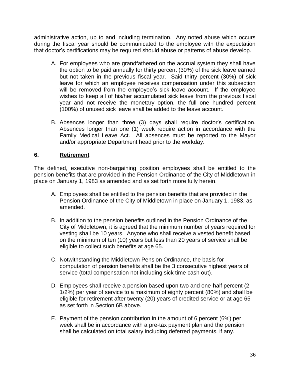administrative action, up to and including termination. Any noted abuse which occurs during the fiscal year should be communicated to the employee with the expectation that doctor's certifications may be required should abuse or patterns of abuse develop.

- A. For employees who are grandfathered on the accrual system they shall have the option to be paid annually for thirty percent (30%) of the sick leave earned but not taken in the previous fiscal year. Said thirty percent (30%) of sick leave for which an employee receives compensation under this subsection will be removed from the employee's sick leave account. If the employee wishes to keep all of his/her accumulated sick leave from the previous fiscal year and not receive the monetary option, the full one hundred percent (100%) of unused sick leave shall be added to the leave account.
- B. Absences longer than three (3) days shall require doctor's certification. Absences longer than one (1) week require action in accordance with the Family Medical Leave Act. All absences must be reported to the Mayor and/or appropriate Department head prior to the workday.

# **6. Retirement**

The defined, executive non-bargaining position employees shall be entitled to the pension benefits that are provided in the Pension Ordinance of the City of Middletown in place on January 1, 1983 as amended and as set forth more fully herein.

- A. Employees shall be entitled to the pension benefits that are provided in the Pension Ordinance of the City of Middletown in place on January 1, 1983, as amended.
- B. In addition to the pension benefits outlined in the Pension Ordinance of the City of Middletown, it is agreed that the minimum number of years required for vesting shall be 10 years. Anyone who shall receive a vested benefit based on the minimum of ten (10) years but less than 20 years of service shall be eligible to collect such benefits at age 65.
- C. Notwithstanding the Middletown Pension Ordinance, the basis for computation of pension benefits shall be the 3 consecutive highest years of service (total compensation not including sick time cash out).
- D. Employees shall receive a pension based upon two and one-half percent (2- 1/2%) per year of service to a maximum of eighty percent (80%) and shall be eligible for retirement after twenty (20) years of credited service or at age 65 as set forth in Section 6B above.
- E. Payment of the pension contribution in the amount of 6 percent (6%) per week shall be in accordance with a pre-tax payment plan and the pension shall be calculated on total salary including deferred payments, if any.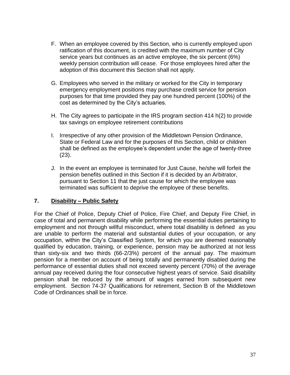- F. When an employee covered by this Section, who is currently employed upon ratification of this document, is credited with the maximum number of City service years but continues as an active employee, the six percent (6%) weekly pension contribution will cease. For those employees hired after the adoption of this document this Section shall not apply.
- G. Employees who served in the military or worked for the City in temporary emergency employment positions may purchase credit service for pension purposes for that time provided they pay one hundred percent (100%) of the cost as determined by the City's actuaries.
- H. The City agrees to participate in the IRS program section 414 h(2) to provide tax savings on employee retirement contributions
- I. Irrespective of any other provision of the Middletown Pension Ordinance, State or Federal Law and for the purposes of this Section, child or children shall be defined as the employee's dependent under the age of twenty-three (23).
- J. In the event an employee is terminated for Just Cause, he/she will forfeit the pension benefits outlined in this Section if it is decided by an Arbitrator, pursuant to Section 11 that the just cause for which the employee was terminated was sufficient to deprive the employee of these benefits.

# **7. Disability – Public Safety**

For the Chief of Police, Deputy Chief of Police, Fire Chief, and Deputy Fire Chief, in case of total and permanent disability while performing the essential duties pertaining to employment and not through willful misconduct, where total disability is defined as you are unable to perform the material and substantial duties of your occupation, or any occupation, within the City's Classified System, for which you are deemed reasonably qualified by education, training, or experience, pension may be authorized at not less than sixty-six and two thirds (66-2/3%) percent of the annual pay. The maximum pension for a member on account of being totally and permanently disabled during the performance of essential duties shall not exceed seventy percent (70%) of the average annual pay received during the four consecutive highest years of service. Said disability pension shall be reduced by the amount of wages earned from subsequent new employment. Section 74-37 Qualifications for retirement, Section B of the Middletown Code of Ordinances shall be in force.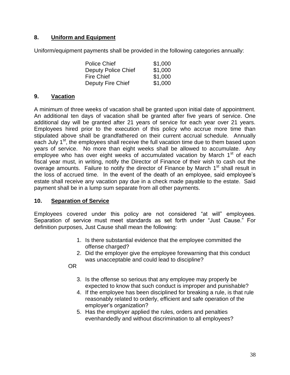# **8. Uniform and Equipment**

Uniform/equipment payments shall be provided in the following categories annually:

| <b>Police Chief</b>        | \$1,000 |
|----------------------------|---------|
| <b>Deputy Police Chief</b> | \$1,000 |
| <b>Fire Chief</b>          | \$1,000 |
| Deputy Fire Chief          | \$1,000 |

# **9. Vacation**

A minimum of three weeks of vacation shall be granted upon initial date of appointment. An additional ten days of vacation shall be granted after five years of service. One additional day will be granted after 21 years of service for each year over 21 years. Employees hired prior to the execution of this policy who accrue more time than stipulated above shall be grandfathered on their current accrual schedule. Annually each July 1<sup>st</sup>, the employees shall receive the full vacation time due to them based upon years of service. No more than eight weeks shall be allowed to accumulate. Any employee who has over eight weeks of accumulated vacation by March  $1<sup>st</sup>$  of each fiscal year must, in writing, notify the Director of Finance of their wish to cash out the overage amounts. Failure to notify the director of Finance by March 1<sup>st</sup> shall result in the loss of accrued time. In the event of the death of an employee, said employee's estate shall receive any vacation pay due in a check made payable to the estate. Said payment shall be in a lump sum separate from all other payments.

# **10. Separation of Service**

Employees covered under this policy are not considered "at will" employees. Separation of service must meet standards as set forth under "Just Cause." For definition purposes, Just Cause shall mean the following:

- 1. Is there substantial evidence that the employee committed the offense charged?
- 2. Did the employer give the employee forewarning that this conduct was unacceptable and could lead to discipline?

OR

- 3. Is the offense so serious that any employee may properly be expected to know that such conduct is improper and punishable?
- 4. If the employee has been disciplined for breaking a rule, is that rule reasonably related to orderly, efficient and safe operation of the employer's organization?
- 5. Has the employer applied the rules, orders and penalties evenhandedly and without discrimination to all employees?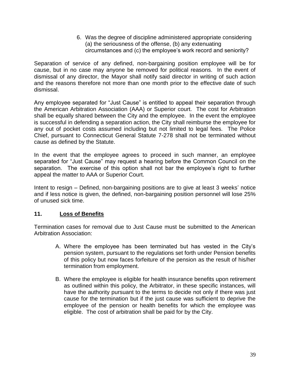6. Was the degree of discipline administered appropriate considering (a) the seriousness of the offense, (b) any extenuating circumstances and (c) the employee's work record and seniority?

Separation of service of any defined, non-bargaining position employee will be for cause, but in no case may anyone be removed for political reasons. In the event of dismissal of any director, the Mayor shall notify said director in writing of such action and the reasons therefore not more than one month prior to the effective date of such dismissal.

Any employee separated for "Just Cause" is entitled to appeal their separation through the American Arbitration Association (AAA) or Superior court. The cost for Arbitration shall be equally shared between the City and the employee. In the event the employee is successful in defending a separation action, the City shall reimburse the employee for any out of pocket costs assumed including but not limited to legal fees. The Police Chief, pursuant to Connecticut General Statute 7-278 shall not be terminated without cause as defined by the Statute.

In the event that the employee agrees to proceed in such manner, an employee separated for "Just Cause" may request a hearing before the Common Council on the separation. The exercise of this option shall not bar the employee's right to further appeal the matter to AAA or Superior Court.

Intent to resign – Defined, non-bargaining positions are to give at least 3 weeks' notice and if less notice is given, the defined, non-bargaining position personnel will lose 25% of unused sick time.

# **11. Loss of Benefits**

Termination cases for removal due to Just Cause must be submitted to the American Arbitration Association:

- A. Where the employee has been terminated but has vested in the City's pension system, pursuant to the regulations set forth under Pension benefits of this policy but now faces forfeiture of the pension as the result of his/her termination from employment.
- B. Where the employee is eligible for health insurance benefits upon retirement as outlined within this policy, the Arbitrator, in these specific instances, will have the authority pursuant to the terms to decide not only if there was just cause for the termination but if the just cause was sufficient to deprive the employee of the pension or health benefits for which the employee was eligible. The cost of arbitration shall be paid for by the City.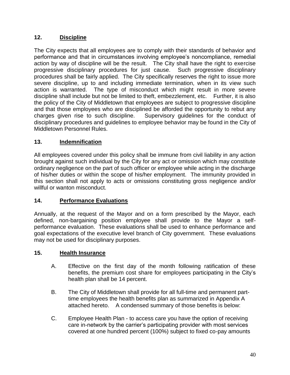# **12. Discipline**

The City expects that all employees are to comply with their standards of behavior and performance and that in circumstances involving employee's noncompliance, remedial action by way of discipline will be the result. The City shall have the right to exercise progressive disciplinary procedures for just cause. Such progressive disciplinary procedures shall be fairly applied. The City specifically reserves the right to issue more severe discipline, up to and including immediate termination, when in its view such action is warranted. The type of misconduct which might result in more severe discipline shall include but not be limited to theft, embezzlement, etc. Further, it is also the policy of the City of Middletown that employees are subject to progressive discipline and that those employees who are disciplined be afforded the opportunity to rebut any charges given rise to such discipline. Supervisory guidelines for the conduct of disciplinary procedures and guidelines to employee behavior may be found in the City of Middletown Personnel Rules.

# **13. Indemnification**

All employees covered under this policy shall be immune from civil liability in any action brought against such individual by the City for any act or omission which may constitute ordinary negligence on the part of such officer or employee while acting in the discharge of his/her duties or within the scope of his/her employment. The immunity provided in this section shall not apply to acts or omissions constituting gross negligence and/or willful or wanton misconduct.

# **14. Performance Evaluations**

Annually, at the request of the Mayor and on a form prescribed by the Mayor, each defined, non-bargaining position employee shall provide to the Mayor a selfperformance evaluation. These evaluations shall be used to enhance performance and goal expectations of the executive level branch of City government. These evaluations may not be used for disciplinary purposes.

# **15. Health Insurance**

- A. Effective on the first day of the month following ratification of these benefits, the premium cost share for employees participating in the City's health plan shall be 14 percent.
- B. The City of Middletown shall provide for all full-time and permanent parttime employees the health benefits plan as summarized in Appendix A attached hereto. A condensed summary of those benefits is below:
- C. Employee Health Plan to access care you have the option of receiving care in-network by the carrier's participating provider with most services covered at one hundred percent (100%) subject to fixed co-pay amounts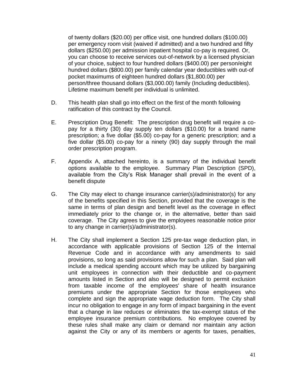of twenty dollars (\$20.00) per office visit, one hundred dollars (\$100.00) per emergency room visit (waived if admitted) and a two hundred and fifty dollars (\$250.00) per admission inpatient hospital co-pay is required. Or, you can choose to receive services out-of-network by a licensed physician of your choice, subject to four hundred dollars (\$400.00) per person/eight hundred dollars (\$800.00) per family calendar year deductibles with out-of pocket maximums of eighteen hundred dollars (\$1,800.00) per person/three thousand dollars (\$3,000.00) family (Including deductibles). Lifetime maximum benefit per individual is unlimited.

- D. This health plan shall go into effect on the first of the month following ratification of this contract by the Council.
- E. Prescription Drug Benefit: The prescription drug benefit will require a copay for a thirty (30) day supply ten dollars (\$10.00) for a brand name prescription; a five dollar (\$5.00) co-pay for a generic prescription; and a five dollar (\$5.00) co-pay for a ninety (90) day supply through the mail order prescription program.
- F. Appendix A, attached hereinto, is a summary of the individual benefit options available to the employee. Summary Plan Description (SPD), available from the City's Risk Manager shall prevail in the event of a benefit dispute
- G. The City may elect to change insurance carrier(s)/administrator(s) for any of the benefits specified in this Section, provided that the coverage is the same in terms of plan design and benefit level as the coverage in effect immediately prior to the change or, in the alternative, better than said coverage. The City agrees to give the employees reasonable notice prior to any change in carrier(s)/administrator(s).
- H. The City shall implement a Section 125 pre-tax wage deduction plan, in accordance with applicable provisions of Section 125 of the Internal Revenue Code and in accordance with any amendments to said provisions, so long as said provisions allow for such a plan. Said plan will include a medical spending account which may be utilized by bargaining unit employees in connection with their deductible and co-payment amounts listed in Section and also will be designed to permit exclusion from taxable income of the employees' share of health insurance premiums under the appropriate Section for those employees who complete and sign the appropriate wage deduction form. The City shall incur no obligation to engage in any form of impact bargaining in the event that a change in law reduces or eliminates the tax-exempt status of the employee insurance premium contributions. No employee covered by these rules shall make any claim or demand nor maintain any action against the City or any of its members or agents for taxes, penalties,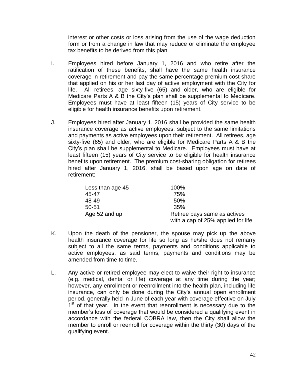interest or other costs or loss arising from the use of the wage deduction form or from a change in law that may reduce or eliminate the employee tax benefits to be derived from this plan.

- I. Employees hired before January 1, 2016 and who retire after the ratification of these benefits, shall have the same health insurance coverage in retirement and pay the same percentage premium cost share that applied on his or her last day of active employment with the City for life. All retirees, age sixty-five (65) and older, who are eligible for Medicare Parts A & B the City's plan shall be supplemental to Medicare. Employees must have at least fifteen (15) years of City service to be eligible for health insurance benefits upon retirement.
- J. Employees hired after January 1, 2016 shall be provided the same health insurance coverage as active employees, subject to the same limitations and payments as active employees upon their retirement. All retirees, age sixty-five (65) and older, who are eligible for Medicare Parts A & B the City's plan shall be supplemental to Medicare. Employees must have at least fifteen (15) years of City service to be eligible for health insurance benefits upon retirement. The premium cost-sharing obligation for retirees hired after January 1, 2016, shall be based upon age on date of retirement:

| Less than age 45 | 100%                                |
|------------------|-------------------------------------|
| 45-47            | 75%                                 |
| 48-49            | .50%                                |
| $50 - 51$        | 35%                                 |
| Age 52 and up    | Retiree pays same as actives        |
|                  | with a cap of 25% applied for life. |

- K. Upon the death of the pensioner, the spouse may pick up the above health insurance coverage for life so long as he/she does not remarry subject to all the same terms, payments and conditions applicable to active employees, as said terms, payments and conditions may be amended from time to time.
- L. Any active or retired employee may elect to waive their right to insurance (e.g. medical, dental or life) coverage at any time during the year; however, any enrollment or reenrollment into the health plan, including life insurance, can only be done during the City's annual open enrollment period, generally held in June of each year with coverage effective on July 1<sup>st</sup> of that year. In the event that reenrollment is necessary due to the member's loss of coverage that would be considered a qualifying event in accordance with the federal COBRA law, then the City shall allow the member to enroll or reenroll for coverage within the thirty (30) days of the qualifying event.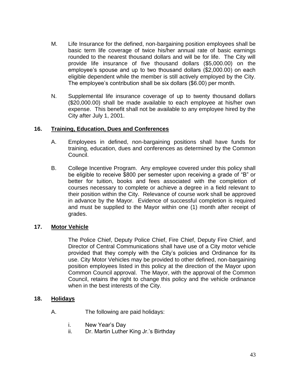- M. Life Insurance for the defined, non-bargaining position employees shall be basic term life coverage of twice his/her annual rate of basic earnings rounded to the nearest thousand dollars and will be for life. The City will provide life insurance of five thousand dollars (\$5,000.00) on the employee's spouse and up to two thousand dollars (\$2,000.00) on each eligible dependent while the member is still actively employed by the City. The employee's contribution shall be six dollars (\$6.00) per month.
- N. Supplemental life insurance coverage of up to twenty thousand dollars (\$20,000.00) shall be made available to each employee at his/her own expense. This benefit shall not be available to any employee hired by the City after July 1, 2001.

# **16. Training, Education, Dues and Conferences**

- A. Employees in defined, non-bargaining positions shall have funds for training, education, dues and conferences as determined by the Common Council.
- B. College Incentive Program. Any employee covered under this policy shall be eligible to receive \$800 per semester upon receiving a grade of "B" or better for tuition, books and fees associated with the completion of courses necessary to complete or achieve a degree in a field relevant to their position within the City. Relevance of course work shall be approved in advance by the Mayor. Evidence of successful completion is required and must be supplied to the Mayor within one (1) month after receipt of grades.

#### **17. Motor Vehicle**

The Police Chief, Deputy Police Chief, Fire Chief, Deputy Fire Chief, and Director of Central Communications shall have use of a City motor vehicle provided that they comply with the City's policies and Ordinance for its use. City Motor Vehicles may be provided to other defined, non-bargaining position employees listed in this policy at the direction of the Mayor upon Common Council approval. The Mayor, with the approval of the Common Council, retains the right to change this policy and the vehicle ordinance when in the best interests of the City.

#### **18. Holidays**

- A. The following are paid holidays:
	- i. New Year's Day
	- ii. Dr. Martin Luther King Jr.'s Birthday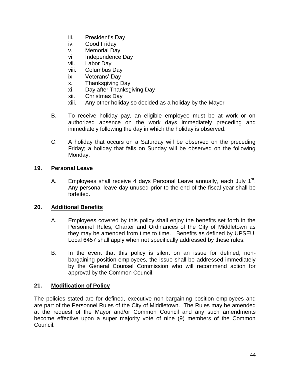- iii. President's Day
- iv. Good Friday
- v. Memorial Day
- vi Independence Day
- vii. Labor Day
- viii. Columbus Day
- ix. Veterans' Day
- x. Thanksgiving Day
- xi. Day after Thanksgiving Day
- xii. Christmas Day
- xiii. Any other holiday so decided as a holiday by the Mayor
- B. To receive holiday pay, an eligible employee must be at work or on authorized absence on the work days immediately preceding and immediately following the day in which the holiday is observed.
- C. A holiday that occurs on a Saturday will be observed on the preceding Friday; a holiday that falls on Sunday will be observed on the following Monday.

#### **19. Personal Leave**

A. Employees shall receive 4 days Personal Leave annually, each July 1<sup>st</sup>. Any personal leave day unused prior to the end of the fiscal year shall be forfeited.

#### **20. Additional Benefits**

- A. Employees covered by this policy shall enjoy the benefits set forth in the Personnel Rules, Charter and Ordinances of the City of Middletown as they may be amended from time to time. Benefits as defined by UPSEU, Local 6457 shall apply when not specifically addressed by these rules.
- B. In the event that this policy is silent on an issue for defined, nonbargaining position employees, the issue shall be addressed immediately by the General Counsel Commission who will recommend action for approval by the Common Council.

#### **21. Modification of Policy**

The policies stated are for defined, executive non-bargaining position employees and are part of the Personnel Rules of the City of Middletown. The Rules may be amended at the request of the Mayor and/or Common Council and any such amendments become effective upon a super majority vote of nine (9) members of the Common Council.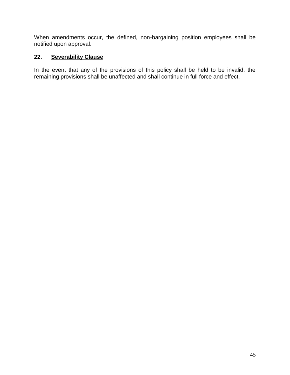When amendments occur, the defined, non-bargaining position employees shall be notified upon approval.

# **22. Severability Clause**

In the event that any of the provisions of this policy shall be held to be invalid, the remaining provisions shall be unaffected and shall continue in full force and effect.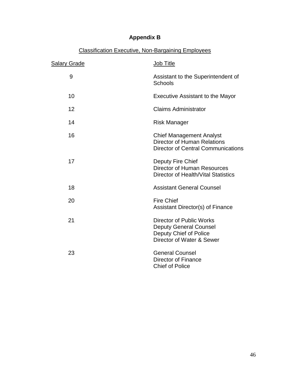# **Appendix B**

| <b>Salary Grade</b> | Job Title                                                                                                               |
|---------------------|-------------------------------------------------------------------------------------------------------------------------|
| 9                   | Assistant to the Superintendent of<br>Schools                                                                           |
| 10                  | <b>Executive Assistant to the Mayor</b>                                                                                 |
| 12                  | <b>Claims Administrator</b>                                                                                             |
| 14                  | <b>Risk Manager</b>                                                                                                     |
| 16                  | <b>Chief Management Analyst</b><br>Director of Human Relations<br><b>Director of Central Communications</b>             |
| 17                  | Deputy Fire Chief<br><b>Director of Human Resources</b><br>Director of Health/Vital Statistics                          |
| 18                  | <b>Assistant General Counsel</b>                                                                                        |
| 20                  | <b>Fire Chief</b><br>Assistant Director(s) of Finance                                                                   |
| 21                  | <b>Director of Public Works</b><br><b>Deputy General Counsel</b><br>Deputy Chief of Police<br>Director of Water & Sewer |
| 23                  | <b>General Counsel</b><br><b>Director of Finance</b><br><b>Chief of Police</b>                                          |

# Classification Executive, Non-Bargaining Employees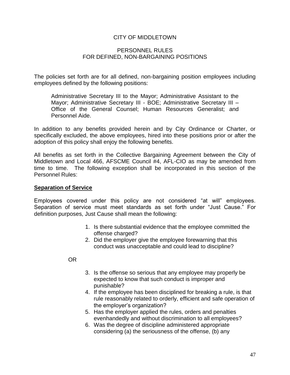# CITY OF MIDDLETOWN

#### PERSONNEL RULES FOR DEFINED, NON-BARGAINING POSITIONS

The policies set forth are for all defined, non-bargaining position employees including employees defined by the following positions:

Administrative Secretary III to the Mayor; Administrative Assistant to the Mayor; Administrative Secretary III - BOE; Administrative Secretary III – Office of the General Counsel; Human Resources Generalist; and Personnel Aide.

In addition to any benefits provided herein and by City Ordinance or Charter, or specifically excluded, the above employees, hired into these positions prior or after the adoption of this policy shall enjoy the following benefits.

All benefits as set forth in the Collective Bargaining Agreement between the City of Middletown and Local 466, AFSCME Council #4, AFL-CIO as may be amended from time to time. The following exception shall be incorporated in this section of the Personnel Rules:

#### **Separation of Service**

Employees covered under this policy are not considered "at will" employees. Separation of service must meet standards as set forth under "Just Cause." For definition purposes, Just Cause shall mean the following:

- 1. Is there substantial evidence that the employee committed the offense charged?
- 2. Did the employer give the employee forewarning that this conduct was unacceptable and could lead to discipline?

OR

- 3. Is the offense so serious that any employee may properly be expected to know that such conduct is improper and punishable?
- 4. If the employee has been disciplined for breaking a rule, is that rule reasonably related to orderly, efficient and safe operation of the employer's organization?
- 5. Has the employer applied the rules, orders and penalties evenhandedly and without discrimination to all employees?
- 6. Was the degree of discipline administered appropriate considering (a) the seriousness of the offense, (b) any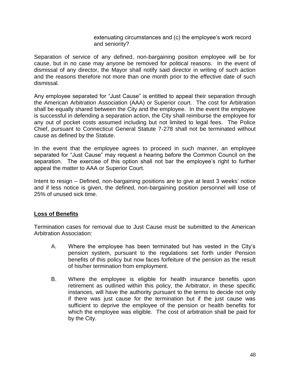extenuating circumstances and (c) the employee's work record and seniority?

Separation of service of any defined, non-bargaining position employee will be for cause, but in no case may anyone be removed for political reasons. In the event of dismissal of any director, the Mayor shall notify said director in writing of such action and the reasons therefore not more than one month prior to the effective date of such dismissal.

Any employee separated for "Just Cause" is entitled to appeal their separation through the American Arbitration Association (AAA) or Superior court. The cost for Arbitration shall be equally shared between the City and the employee. In the event the employee is successful in defending a separation action, the City shall reimburse the employee for any out of pocket costs assumed including but not limited to legal fees. The Police Chief, pursuant to Connecticut General Statute 7-278 shall not be terminated without cause as defined by the Statute.

In the event that the employee agrees to proceed in such manner, an employee separated for "Just Cause" may request a hearing before the Common Council on the separation. The exercise of this option shall not bar the employee's right to further appeal the matter to AAA or Superior Court.

Intent to resign – Defined, non-bargaining positions are to give at least 3 weeks' notice and if less notice is given, the defined, non-bargaining position personnel will lose of 25% of unused sick time.

# **Loss of Benefits**

Termination cases for removal due to Just Cause must be submitted to the American Arbitration Association:

- A. Where the employee has been terminated but has vested in the City's pension system, pursuant to the regulations set forth under Pension benefits of this policy but now faces forfeiture of the pension as the result of his/her termination from employment.
- B. Where the employee is eligible for health insurance benefits upon retirement as outlined within this policy, the Arbitrator, in these specific instances, will have the authority pursuant to the terms to decide not only if there was just cause for the termination but if the just cause was sufficient to deprive the employee of the pension or health benefits for which the employee was eligible. The cost of arbitration shall be paid for by the City.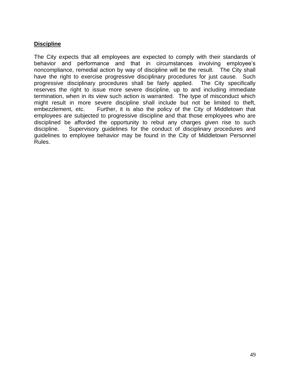# **Discipline**

The City expects that all employees are expected to comply with their standards of behavior and performance and that in circumstances involving employee's noncompliance, remedial action by way of discipline will be the result. The City shall have the right to exercise progressive disciplinary procedures for just cause. Such progressive disciplinary procedures shall be fairly applied. The City specifically reserves the right to issue more severe discipline, up to and including immediate termination, when in its view such action is warranted. The type of misconduct which might result in more severe discipline shall include but not be limited to theft, embezzlement, etc. Further, it is also the policy of the City of Middletown that employees are subjected to progressive discipline and that those employees who are disciplined be afforded the opportunity to rebut any charges given rise to such discipline. Supervisory guidelines for the conduct of disciplinary procedures and guidelines to employee behavior may be found in the City of Middletown Personnel Rules.